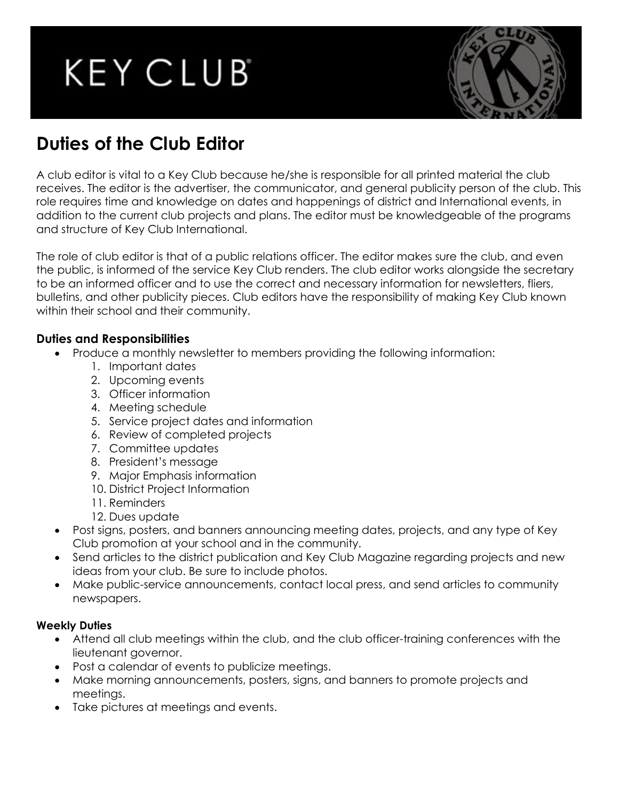# **KEY CLUB**



# **Duties of the Club Editor**

A club editor is vital to a Key Club because he/she is responsible for all printed material the club receives. The editor is the advertiser, the communicator, and general publicity person of the club. This role requires time and knowledge on dates and happenings of district and International events, in addition to the current club projects and plans. The editor must be knowledgeable of the programs and structure of Key Club International.

The role of club editor is that of a public relations officer. The editor makes sure the club, and even the public, is informed of the service Key Club renders. The club editor works alongside the secretary to be an informed officer and to use the correct and necessary information for newsletters, fliers, bulletins, and other publicity pieces. Club editors have the responsibility of making Key Club known within their school and their community.

### **Duties and Responsibilities**

- Produce a monthly newsletter to members providing the following information:
	- 1. Important dates
	- 2. Upcoming events
	- 3. Officer information
	- 4. Meeting schedule
	- 5. Service project dates and information
	- 6. Review of completed projects
	- 7. Committee updates
	- 8. President's message
	- 9. Major Emphasis information
	- 10. District Project Information
	- 11. Reminders
	- 12. Dues update
- Post signs, posters, and banners announcing meeting dates, projects, and any type of Key Club promotion at your school and in the community.
- Send articles to the district publication and Key Club Magazine regarding projects and new ideas from your club. Be sure to include photos.
- Make public-service announcements, contact local press, and send articles to community newspapers.

#### **Weekly Duties**

- Attend all club meetings within the club, and the club officer-training conferences with the lieutenant governor.
- Post a calendar of events to publicize meetings.
- Make morning announcements, posters, signs, and banners to promote projects and meetings.
- Take pictures at meetings and events.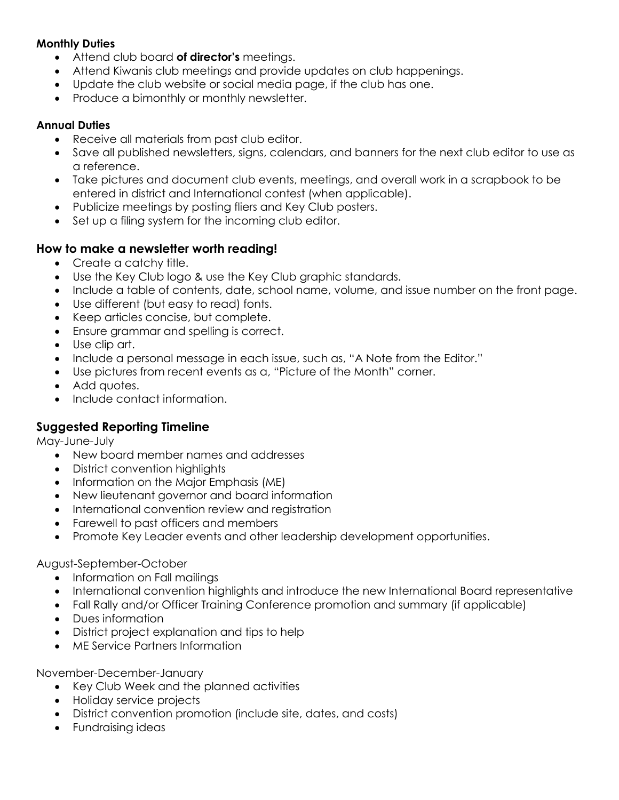#### **Monthly Duties**

- Attend club board **of director's** meetings.
- Attend Kiwanis club meetings and provide updates on club happenings.
- Update the club website or social media page, if the club has one.
- Produce a bimonthly or monthly newsletter.

#### **Annual Duties**

- Receive all materials from past club editor.
- Save all published newsletters, signs, calendars, and banners for the next club editor to use as a reference.
- Take pictures and document club events, meetings, and overall work in a scrapbook to be entered in district and International contest (when applicable).
- Publicize meetings by posting fliers and Key Club posters.
- Set up a filing system for the incoming club editor.

#### **How to make a newsletter worth reading!**

- Create a catchy title.
- Use the Key Club logo & use the Key Club graphic standards.
- Include a table of contents, date, school name, volume, and issue number on the front page.
- Use different (but easy to read) fonts.
- Keep articles concise, but complete.
- Ensure grammar and spelling is correct.
- Use clip art.
- Include a personal message in each issue, such as, "A Note from the Editor."
- Use pictures from recent events as a, "Picture of the Month" corner.
- Add quotes.
- Include contact information.

#### **Suggested Reporting Timeline**

May-June-July

- New board member names and addresses
- District convention highlights
- Information on the Major Emphasis (ME)
- New lieutenant governor and board information
- International convention review and registration
- Farewell to past officers and members
- Promote Key Leader events and other leadership development opportunities.

#### August-September-October

- Information on Fall mailings
- International convention highlights and introduce the new International Board representative
- Fall Rally and/or Officer Training Conference promotion and summary (if applicable)
- Dues information
- District project explanation and tips to help
- ME Service Partners Information

November-December-January

- Key Club Week and the planned activities
- Holiday service projects
- District convention promotion (include site, dates, and costs)
- Fundraising ideas